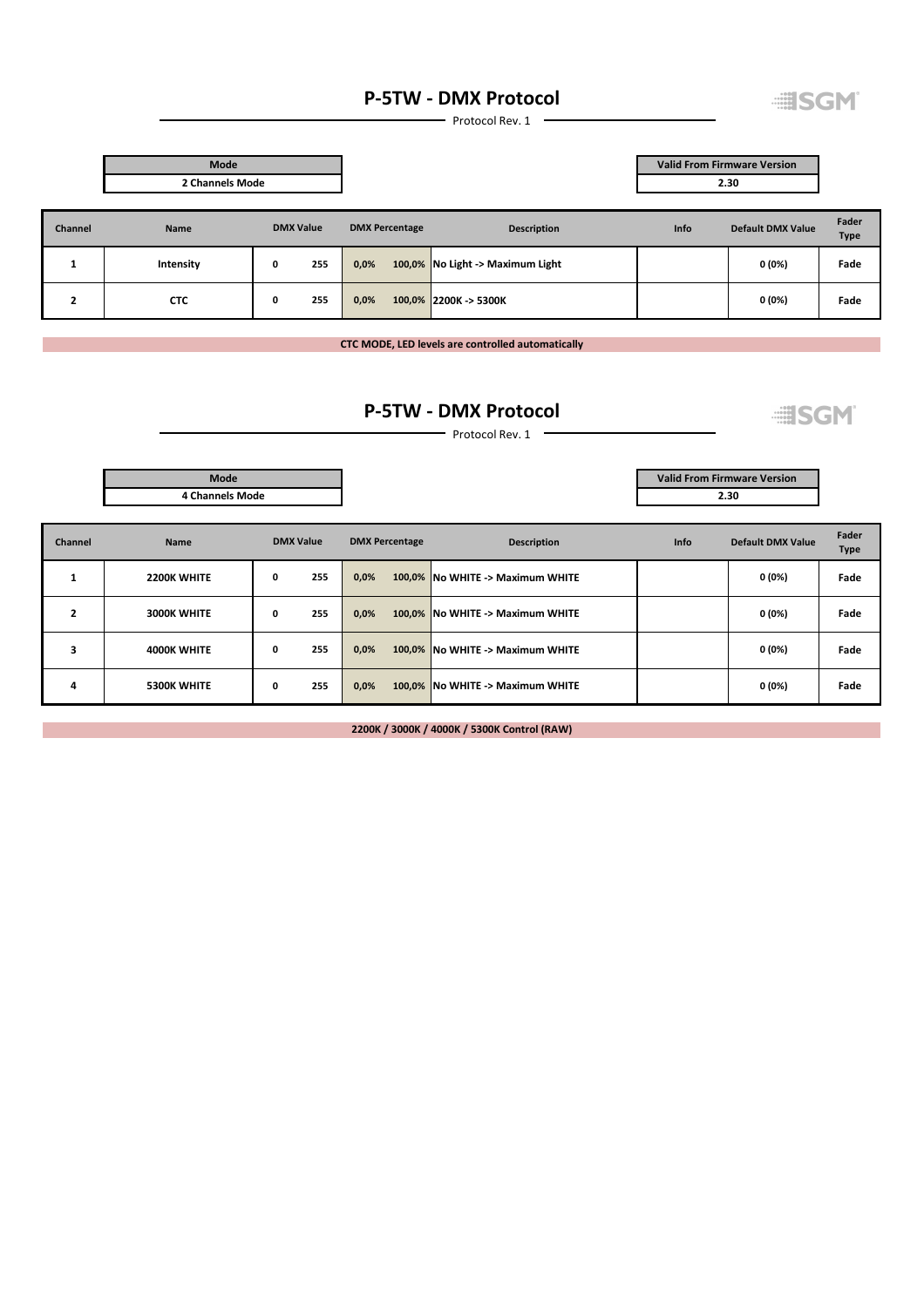## P-5TW - DMX Protocol

**EISGM** 

**EISGM** 

Protocol Rev. 1

|                                                                    | Mode            |                  |                       |                                  | <b>Valid From Firmware Version</b> |                          |                      |
|--------------------------------------------------------------------|-----------------|------------------|-----------------------|----------------------------------|------------------------------------|--------------------------|----------------------|
|                                                                    | 2 Channels Mode |                  |                       |                                  |                                    | 2.30                     |                      |
| Channel                                                            | Name            | <b>DMX Value</b> | <b>DMX Percentage</b> | <b>Description</b>               | Info                               | <b>Default DMX Value</b> | Fader<br><b>Type</b> |
| $\mathbf{\mathbf{\mathbf{\mathbf{\mathbf{\mathbf{\mathbf{I}}}}}}}$ | Intensity       | 255<br>0         | 0,0%                  | 100,0% No Light -> Maximum Light |                                    | 0(0%)                    | Fade                 |
| $\overline{2}$                                                     | <b>CTC</b>      | 255<br>0         | 0,0%                  | 100,0% 2200K -> 5300K            |                                    | 0(0%)                    | Fade                 |

CTC MODE, LED levels are controlled automatically

## P-5TW - DMX Protocol

 $-$  Protocol Rev. 1  $-$ 

|         | Mode                   |                  |                       |                                  | <b>Valid From Firmware Version</b> |                          |                      |
|---------|------------------------|------------------|-----------------------|----------------------------------|------------------------------------|--------------------------|----------------------|
|         | <b>4 Channels Mode</b> |                  |                       |                                  | 2.30                               |                          |                      |
| Channel | <b>Name</b>            | <b>DMX Value</b> | <b>DMX Percentage</b> | <b>Description</b>               | <b>Info</b>                        | <b>Default DMX Value</b> | Fader<br><b>Type</b> |
| 1       | 2200K WHITE            | 255<br>0         | 0,0%                  | 100,0% No WHITE -> Maximum WHITE |                                    | 0 (0%)                   | Fade                 |
| 2       | <b>3000K WHITE</b>     | 255<br>0         | 0,0%                  | 100,0% No WHITE -> Maximum WHITE |                                    | 0 (0%)                   | Fade                 |
| 3       | 4000K WHITE            | 255<br>0         | 0,0%                  | 100,0% No WHITE -> Maximum WHITE |                                    | 0 (0%)                   | Fade                 |
| 4       | <b>5300K WHITE</b>     | 255<br>0         | 0,0%                  | 100,0% No WHITE -> Maximum WHITE |                                    | 0 (0%)                   | Fade                 |

2200K / 3000K / 4000K / 5300K Control (RAW)